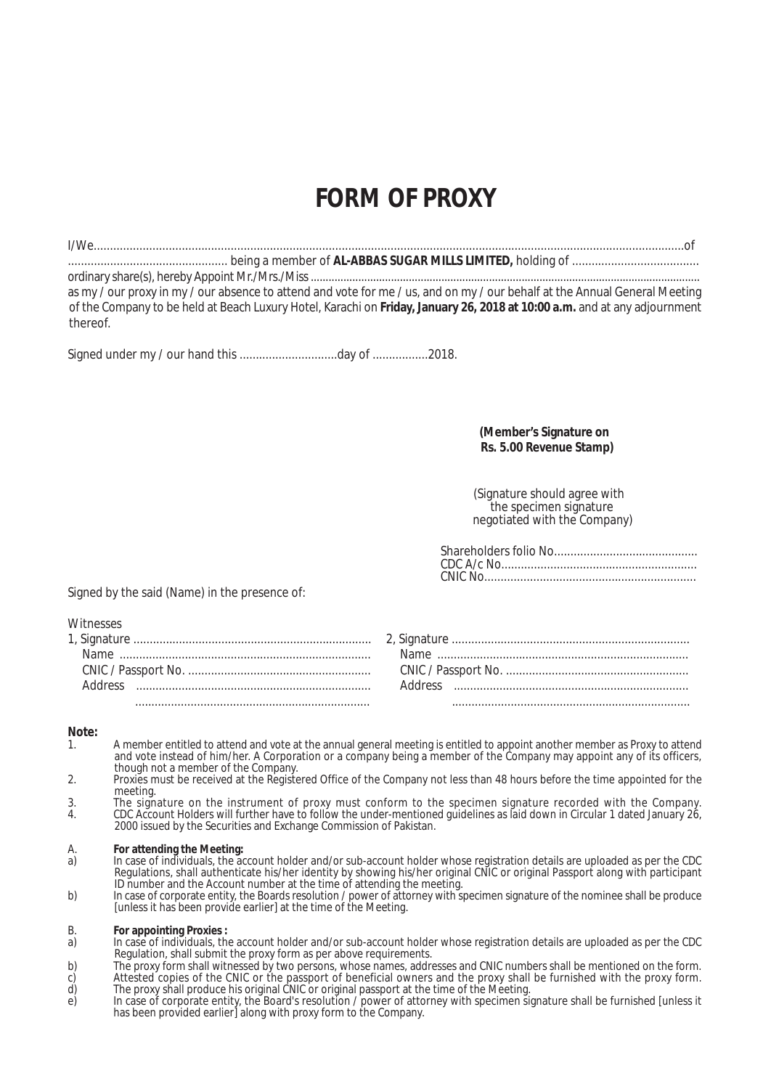## **FORM OF PROXY**

| as my / our proxy in my / our absence to attend and vote for me / us, and on my / our behalf at the Annual General Meeting |
|----------------------------------------------------------------------------------------------------------------------------|
| of the Company to be held at Beach Luxury Hotel, Karachi on Friday, January 26, 2018 at 10:00 a.m. and at any adjournment  |
| thereof.                                                                                                                   |

Signed under my / our hand this ...................................day of .................2018.

 **(Member's Signature on Rs. 5.00 Revenue Stamp)**

(Signature should agree with the specimen signature negotiated with the Company)

Signed by the said (Name) in the presence of:

Witnesses

**Note:**

- 1. A member entitled to attend and vote at the annual general meeting is entitled to appoint another member as Proxy to attend and vote instead of him/her. A Corporation or a company being a member of the Company may appoint any of its officers, though not a member of the Company.
- 2. Proxies must be received at the Registered Office of the Company not less than 48 hours before the time appointed for the meeting.
- 3. The signature on the instrument of proxy must conform to the specimen signature recorded with the Company.<br>4. CDC Account Holders will further have to follow the under-mentioned guidelines as laid down in Circular 1 dat 4. CDC Account Holders will further have to follow the under-mentioned guidelines as laid down in Circular 1 dated January 26, 2000 issued by the Securities and Exchange Commission of Pakistan.
- A. **For attending the Meeting:**
- a) In case of individuals, the account holder and/or sub-account holder whose registration details are uploaded as per the CDC Regulations, shall authenticate his/her identity by showing his/her original CNIC or original Passport along with participant ID number and the Account number at the time of attending the meeting.
- b) In case of corporate entity, the Boards resolution / power of attorney with specimen signature of the nominee shall be produce [unless it has been provide earlier] at the time of the Meeting.
- B. **For appointing Proxies :**
- a) In case of individuals, the account holder and/or sub-account holder whose registration details are uploaded as per the CDC Regulation, shall submit the proxy form as per above requirements.
- b) The proxy form shall witnessed by two persons, whose names, addresses and CNIC numbers shall be mentioned on the form. c) Attested copies of the CNIC or the passport of beneficial owners and the proxy shall be furnished with the proxy form. d) The proxy shall produce his original CNIC or original passport at the time of the Meeting.
- e) In case of corporate entity, the Board's resolution / power of attorney with specimen signature shall be furnished [unless it has been provided earlier] along with proxy form to the Company.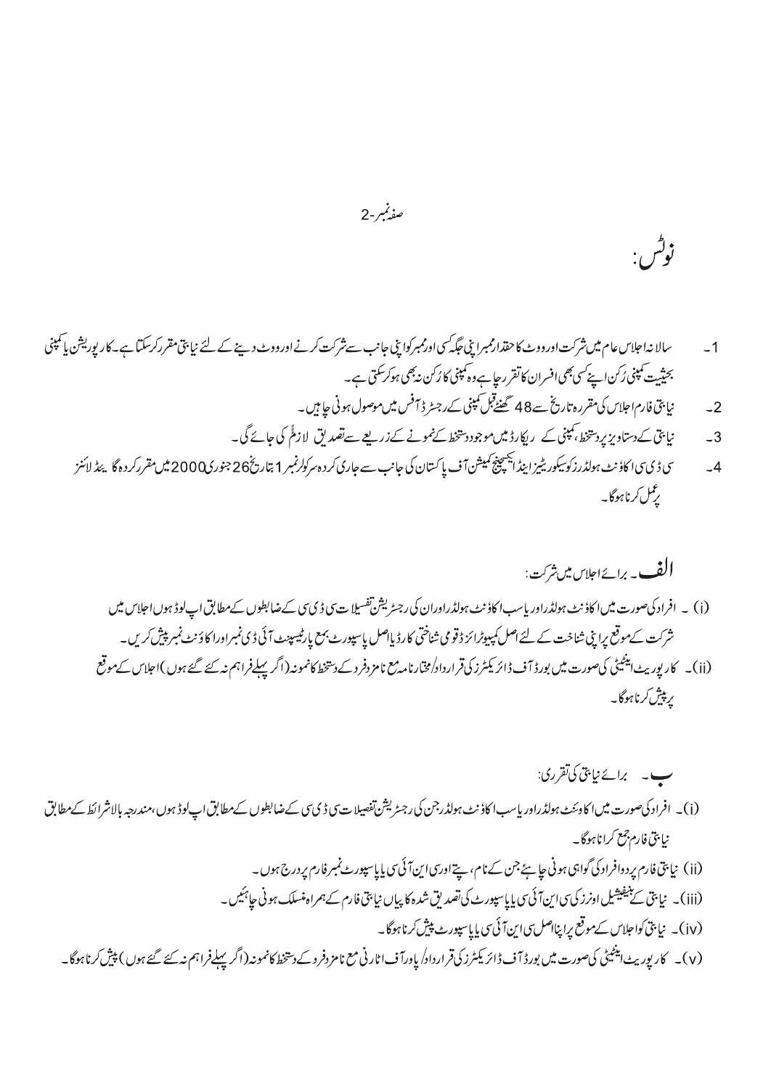صفيمبر-2

سالا نداحلاس عام میں شرکت اورووٹ کا حقدارممبرا بنی جگہ سی اورممبرکوا بنی جانب سے شرکت اورووٹ دینے کے لئے نیا پتی مقررکرسکتا ہے۔کار پوریشن پاسمپنی  $-1$ بحثیت کمپنی رُکن اپنے سی بھی افسران کاتقرر جا ہے وہ کمپنی کا رُکن نہ بھی ہوکر سکتی ہے۔ نیا بنی فارم اجلاس کی مقررہ تاریخ ہے 48 تھنٹے <sup>قبل</sup> کمپنی کے رجسٹر ڈ<sup>س</sup> فیس میں موصول ہونی جا ہیں۔  $-2$ 

نپا پتی کے دستاویز پردستخط، ممپنی کے ریکارڈ میں موجود دستخط کےنمونے کےزریعے سے تصدیق لازمًٰ کی جائے گی۔  $-3$ 

زوگس:

سى ڈىسى اكاؤنٹ ہولڈرزكوسيكوريٹيزاينڈ ايجينچ كميشن آف پا كستان كى جانب سے جارى كرد ہ سركولرنمبر 1 بتاريخ26 جنورى2000ميں مقرركردہ گا پئڈ لائنز  $-4$ ىر<br>برگل كرنا ہوگا۔

ب - برائے نیابتی کی تقرری: (i)۔ افراد کیصورت میں اکاوئٹٹ ہولڈراور پاسب اکاؤنٹ ہولڈرجن کی رجٹریشن تفصیلات پی ڈی سی کےضابطوں کےمطابق اپ لوڈ ہوں،مندرجہ بالاشرائط کےمطابق نيابتي فارم جمع كرانا ہوگا۔ (ii) نیا بنی فارم پردوافراد کی گواہی ہونی جا ہئے جن کے نام، پتے اورسی این آئی سی پایاسپورٹ نمبر فارم پر درج ہوں۔ (iii)۔ نیا بنی سے بنیفیشیل اونرز کی سی این آئی سی پایاسپورٹ کی تصدیق شدہ کا پیاں نیا بنی فارم کے ہمراہ منسلک ہونی حائیکس۔ (iv)۔ نیا بنی کواجلاس کے موقع پراپنااصل بی این آئی سی پایاسپورٹ پیش کرناہوگا۔ (v)۔ کارپوریٹ اینٹیٹی کیصورت میں بورڈ آف ڈائریکٹرز کی قرارداد/یاورآف اٹارنی مع نامزدفرد کے دینخط کانمونہ(اگریپلےفراہم نہ کئے گئے ہوں) پیش کرناہوگا۔